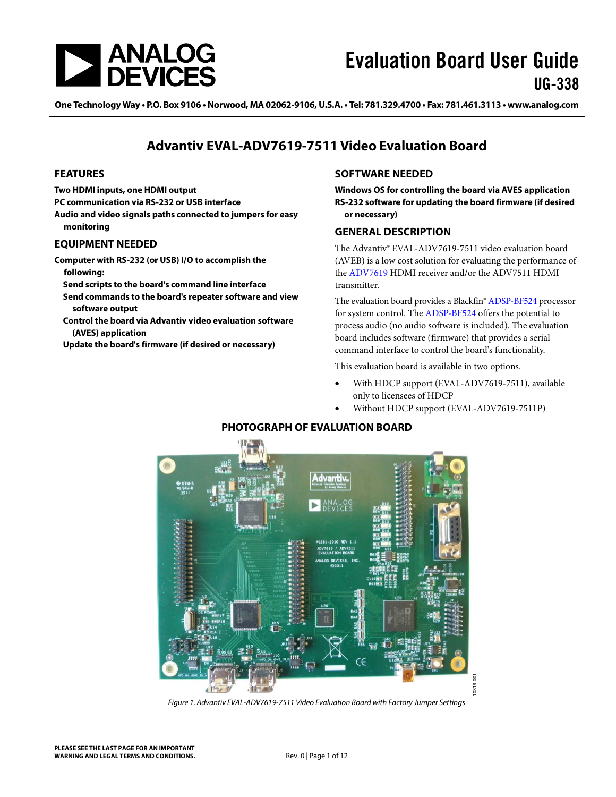

One Technology Way • P.O. Box 9106 • Norwood, MA 02062-9106, U.S.A. • Tel: 781.329.4700 • Fax: 781.461.3113 • www.analog.com

### **Advantiv EVAL-ADV7619-7511 Video Evaluation Board**

#### <span id="page-0-0"></span>**FEATURES**

**Two HDMI inputs, one HDMI output**

**PC communication via RS-232 or USB interface**

**Audio and video signals paths connected to jumpers for easy monitoring**

#### <span id="page-0-1"></span>**EQUIPMENT NEEDED**

**Computer with RS-232 (or USB) I/O to accomplish the following:**

**Send scripts to the board's command line interface**

- **Send commands to the board's repeater software and view software output**
- **Control the board via Advantiv video evaluation software (AVES) application**

<span id="page-0-4"></span>**Update the board's firmware (if desired or necessary)**

#### <span id="page-0-2"></span>**SOFTWARE NEEDED**

**Windows OS for controlling the board via AVES application RS-232 software for updating the board firmware (if desired or necessary)**

#### <span id="page-0-3"></span>**GENERAL DESCRIPTION**

The Advantiv® EVAL-ADV7619-7511 video evaluation board (AVEB) is a low cost solution for evaluating the performance of the [ADV7619](http://www.analog.com/adv7619) HDMI receiver and/or the ADV7511 HDMI transmitter.

The evaluation board provides a Blackfin[® ADSP-BF524](http://www.analog.com/adsp-bf524) processor for system control. The [ADSP-BF524](http://www.analog.com/adsp-bf524) offers the potential to process audio (no audio software is included). The evaluation board includes software (firmware) that provides a serial command interface to control the board's functionality.

This evaluation board is available in two options.

- With HDCP support (EVAL-ADV7619-7511), available only to licensees of HDCP
- Without HDCP support (EVAL-ADV7619-7511P)

### **PHOTOGRAPH OF EVALUATION BOARD**



*Figure 1. Advantiv EVAL-ADV7619-7511 Video Evaluation Board with Factory Jumper Settings*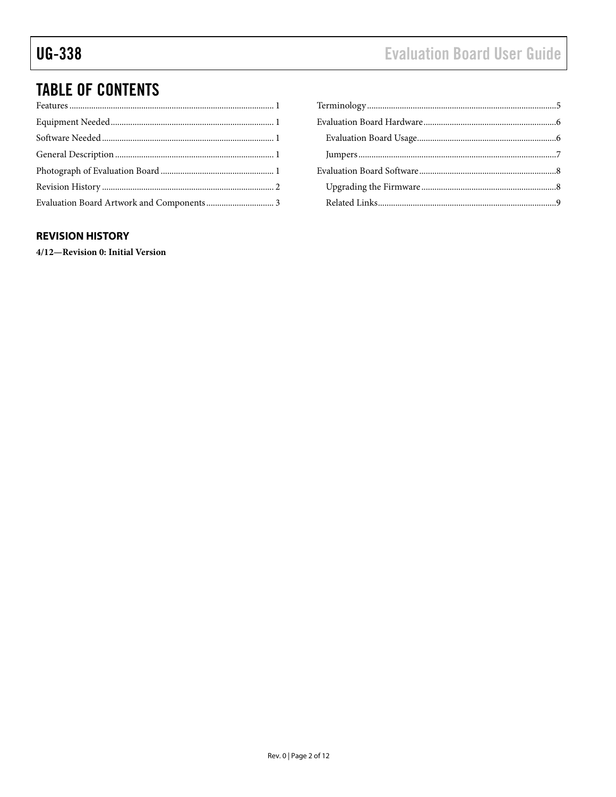# **TABLE OF CONTENTS**

#### <span id="page-1-0"></span>**REVISION HISTORY**

4/12-Revision 0: Initial Version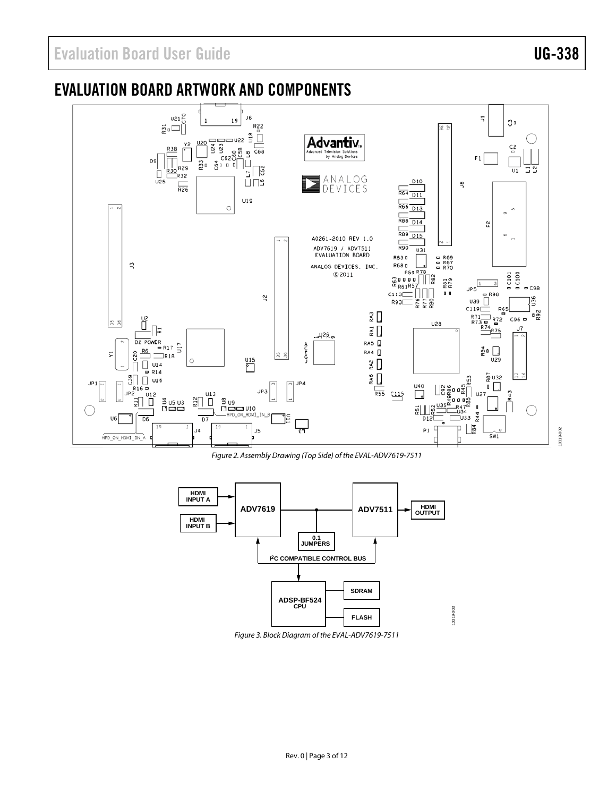## <span id="page-2-0"></span>EVALUATION BOARD ARTWORK AND COMPONENTS



*Figure 2. Assembly Drawing (Top Side) of the EVAL-ADV7619-7511*

<span id="page-2-1"></span>

<span id="page-2-2"></span>*Figure 3. Block Diagram of the EVAL-ADV7619-7511*

10319-002 10319-002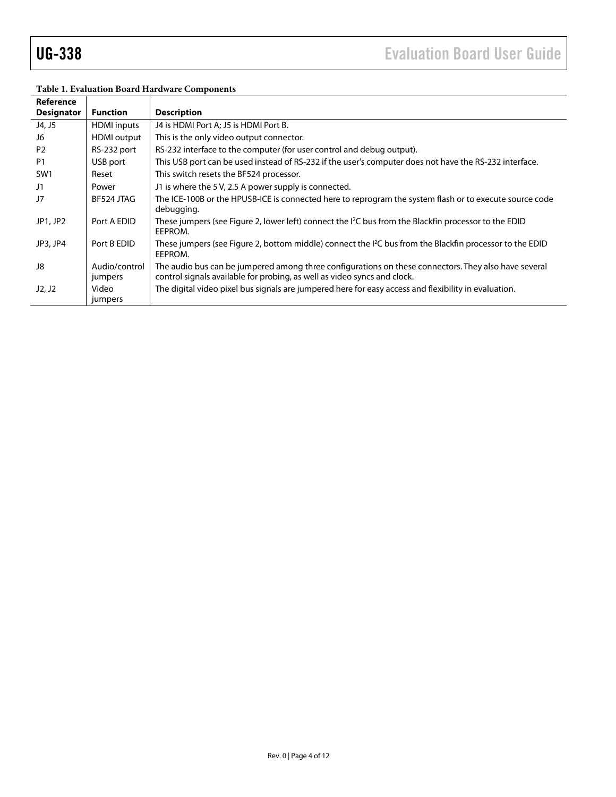| Reference         |                          |                                                                                                                                                                                  |
|-------------------|--------------------------|----------------------------------------------------------------------------------------------------------------------------------------------------------------------------------|
| <b>Designator</b> | <b>Function</b>          | <b>Description</b>                                                                                                                                                               |
| J4, J5            | <b>HDMI</b> inputs       | J4 is HDMI Port A; J5 is HDMI Port B.                                                                                                                                            |
| J6                | HDMI output              | This is the only video output connector.                                                                                                                                         |
| P <sub>2</sub>    | RS-232 port              | RS-232 interface to the computer (for user control and debug output).                                                                                                            |
| P <sub>1</sub>    | USB port                 | This USB port can be used instead of RS-232 if the user's computer does not have the RS-232 interface.                                                                           |
| SW <sub>1</sub>   | Reset                    | This switch resets the BF524 processor.                                                                                                                                          |
| J1                | Power                    | J1 is where the 5V, 2.5 A power supply is connected.                                                                                                                             |
| J7                | BF524 JTAG               | The ICE-100B or the HPUSB-ICE is connected here to reprogram the system flash or to execute source code<br>debugging.                                                            |
| JP1, JP2          | Port A EDID              | These jumpers (see Figure 2, lower left) connect the <sup>12</sup> C bus from the Blackfin processor to the EDID<br>EEPROM.                                                      |
| JP3, JP4          | Port B EDID              | These jumpers (see Figure 2, bottom middle) connect the I <sup>2</sup> C bus from the Blackfin processor to the EDID<br>EEPROM.                                                  |
| J8                | Audio/control<br>jumpers | The audio bus can be jumpered among three configurations on these connectors. They also have several<br>control signals available for probing, as well as video syncs and clock. |
| J2, J2            | Video<br>jumpers         | The digital video pixel bus signals are jumpered here for easy access and flexibility in evaluation.                                                                             |

#### **Table 1. Evaluation Board Hardware Components**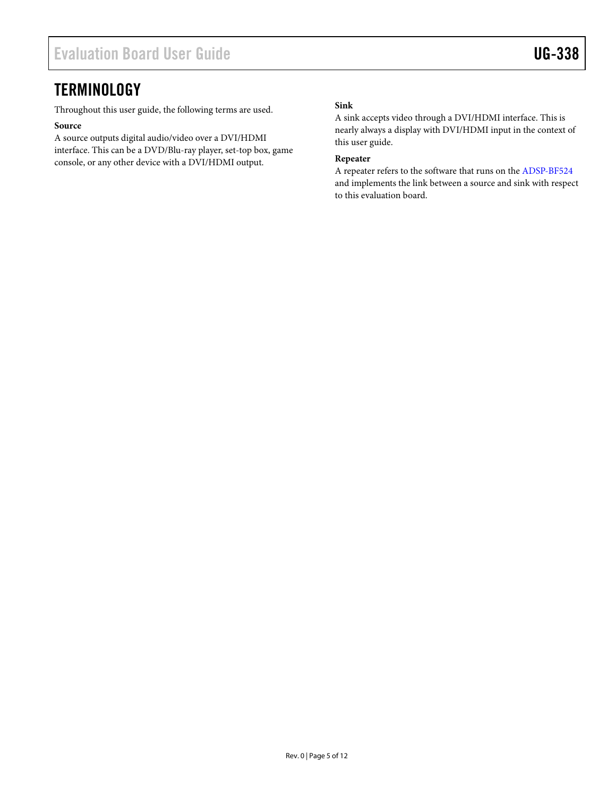### <span id="page-4-0"></span>**TERMINOLOGY**

Throughout this user guide, the following terms are used.

#### **Source**

A source outputs digital audio/video over a DVI/HDMI interface. This can be a DVD/Blu-ray player, set-top box, game console, or any other device with a DVI/HDMI output.

#### **Sink**

A sink accepts video through a DVI/HDMI interface. This is nearly always a display with DVI/HDMI input in the context of this user guide.

#### **Repeater**

A repeater refers to the software that runs on the [ADSP-BF524](http://www.analog.com/adsp-bf524) and implements the link between a source and sink with respect to this evaluation board.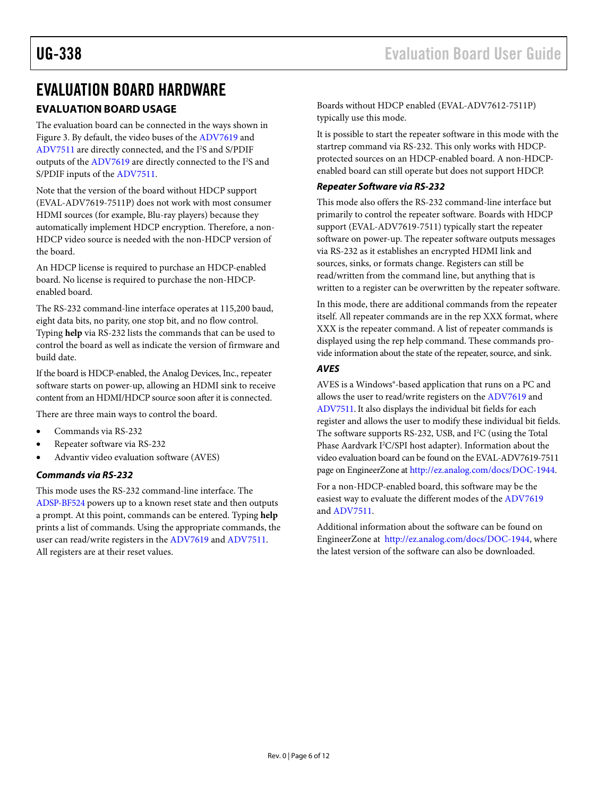### <span id="page-5-0"></span>EVALUATION BOARD HARDWARE

### <span id="page-5-1"></span>**EVALUATION BOARD USAGE**

The evaluation board can be connected in the ways shown in [Figure 3.](#page-2-2) By default, the video buses of the [ADV7619](http://www.analog.com/adv7619) and [ADV7511](http://www.analog.com/adv7511) are directly connected, and the I<sup>2</sup>S and S/PDIF outputs of th[e ADV7619](http://www.analog.com/adv7619) are directly connected to the I<sup>2</sup>S and S/PDIF inputs of the [ADV7511.](http://www.analog.com/adv7511)

Note that the version of the board without HDCP support (EVAL-ADV7619-7511P) does not work with most consumer HDMI sources (for example, Blu-ray players) because they automatically implement HDCP encryption. Therefore, a non-HDCP video source is needed with the non-HDCP version of the board.

An HDCP license is required to purchase an HDCP-enabled board. No license is required to purchase the non-HDCPenabled board.

The RS-232 command-line interface operates at 115,200 baud, eight data bits, no parity, one stop bit, and no flow control. Typing **help** via RS-232 lists the commands that can be used to control the board as well as indicate the version of firmware and build date.

If the board is HDCP-enabled, the Analog Devices, Inc., repeater software starts on power-up, allowing an HDMI sink to receive content from an HDMI/HDCP source soon after it is connected.

There are three main ways to control the board.

- Commands via RS-232
- Repeater software via RS-232
- Advantiv video evaluation software (AVES)

#### *Commands via RS-232*

This mode uses the RS-232 command-line interface. The [ADSP-BF524](http://www.analog.com/adsp-bf524) powers up to a known reset state and then outputs a prompt. At this point, commands can be entered. Typing **help** prints a list of commands. Using the appropriate commands, the user can read/write registers in the [ADV7619](http://www.analog.com/adv7619) and [ADV7511.](http://www.analog.com/adv7511)  All registers are at their reset values.

It is possible to start the repeater software in this mode with the startrep command via RS-232. This only works with HDCPprotected sources on an HDCP-enabled board. A non-HDCPenabled board can still operate but does not support HDCP.

#### *Repeater Software via RS-232*

This mode also offers the RS-232 command-line interface but primarily to control the repeater software. Boards with HDCP support (EVAL-ADV7619-7511) typically start the repeater software on power-up. The repeater software outputs messages via RS-232 as it establishes an encrypted HDMI link and sources, sinks, or formats change. Registers can still be read/written from the command line, but anything that is written to a register can be overwritten by the repeater software.

In this mode, there are additional commands from the repeater itself. All repeater commands are in the rep XXX format, where XXX is the repeater command. A list of repeater commands is displayed using the rep help command. These commands provide information about the state of the repeater, source, and sink.

#### *AVES*

AVES is a Windows®-based application that runs on a PC and allows the user to read/write registers on th[e ADV7619](http://www.analog.com/adv7612) and [ADV7511.](http://www.analog.com/adv7511) It also displays the individual bit fields for each register and allows the user to modify these individual bit fields. The software supports RS-232, USB, and I<sup>2</sup>C (using the Total Phase Aardvark I<sup>2</sup>C/SPI host adapter). Information about the video evaluation board can be found on the EVAL-ADV7619-7511 page on EngineerZone at [http://ez.analog.com/docs/DOC-1944.](http://ez.analog.com/docs/DOC-1944) 

For a non-HDCP-enabled board, this software may be the easiest way to evaluate the different modes of the [ADV7619](http://www.analog.com/adv7619) an[d ADV7511.](http://www.analog.com/adv7511) 

Additional information about the software can be found on EngineerZone at [http://ez.analog.com/docs/DOC-1944,](http://ez.analog.com/docs/DOC-1944) where the latest version of the software can also be downloaded.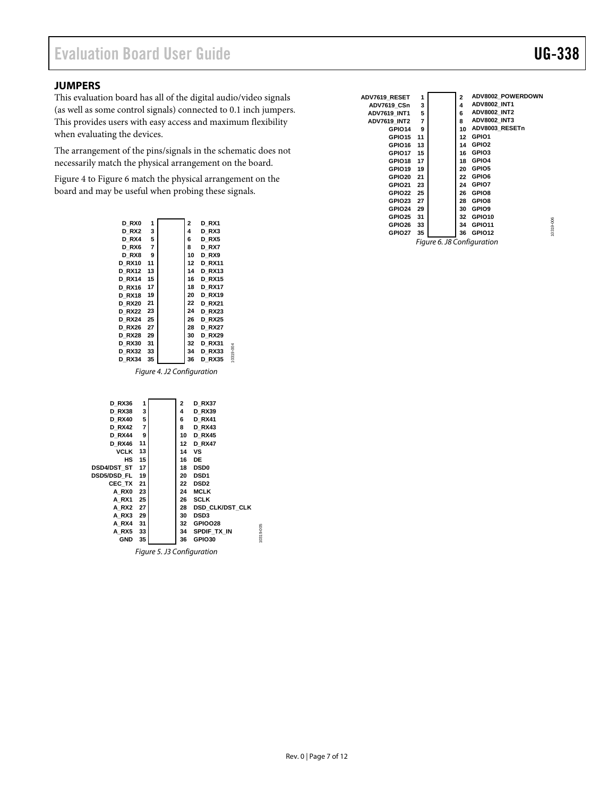#### <span id="page-6-0"></span>**JUMPERS**

This evaluation board has all of the digital audio/video signals (as well as some control signals) connected to 0.1 inch jumpers. This provides users with easy access and maximum flexibility when evaluating the devices.

The arrangement of the pins/signals in the schematic does not necessarily match the physical arrangement on the board.

[Figure 4](#page-6-1) t[o Figure 6 m](#page-6-2)atch the physical arrangement on the board and may be useful when probing these signals.

| D RX0         | 1              | 2  | D RX1         |
|---------------|----------------|----|---------------|
| D RX2         | 3              | 4  | D RX3         |
| D RX4         | 5              | 6  | D RX5         |
| D RX6         | $\overline{7}$ | 8  | D RX7         |
| D RX8         | 9              | 10 | D RX9         |
| <b>D RX10</b> | 11             | 12 | <b>D RX11</b> |
| <b>D RX12</b> | 13             | 14 | <b>D RX13</b> |
| <b>D RX14</b> | 15             | 16 | <b>D</b> RX15 |
| <b>D RX16</b> | 17             | 18 | <b>D RX17</b> |
| <b>D</b> RX18 | 19             | 20 | <b>D RX19</b> |
| <b>D RX20</b> | 21             | 22 | <b>D</b> RX21 |
| <b>D RX22</b> | 23             | 24 | <b>D RX23</b> |
| <b>D RX24</b> | 25             | 26 | <b>D</b> RX25 |
| <b>D RX26</b> | 27             | 28 | <b>D RX27</b> |
| <b>DRX28</b>  | 29             | 30 | <b>D RX29</b> |
| <b>D RX30</b> | 31             | 32 | <b>D RX31</b> |
| <b>D RX32</b> | 33             | 34 | <b>D RX33</b> |
| <b>D RX34</b> | 35             | 36 | <b>D RX35</b> |
|               |                |    |               |

Figure 4. J2 Configuration

10319-004

10319-004

<span id="page-6-1"></span>

| <b>D RX36</b> | 1  | 2  | D RX37          |           |
|---------------|----|----|-----------------|-----------|
| <b>D RX38</b> | 3  | 4  | <b>D RX39</b>   |           |
| <b>D RX40</b> | 5  | 6  | <b>D</b> RX41   |           |
| <b>D RX42</b> | 7  | 8  | <b>D RX43</b>   |           |
| <b>D RX44</b> | 9  | 10 | <b>D RX45</b>   |           |
| <b>D RX46</b> | 11 | 12 | <b>D RX47</b>   |           |
| VCLK          | 13 | 14 | ٧S              |           |
| HS            | 15 | 16 | DE              |           |
| DSD4/DST ST   | 17 | 18 | <b>DSD0</b>     |           |
| DSD5/DSD FL   | 19 | 20 | <b>DSD1</b>     |           |
| CEC TX        | 21 | 22 | <b>DSD2</b>     |           |
| A RXO         | 23 | 24 | <b>MCLK</b>     |           |
| A RX1         | 25 | 26 | <b>SCLK</b>     |           |
| A RX2         | 27 | 28 | DSD CLK/DST CLK |           |
| A RX3         | 29 | 30 | <b>DSD3</b>     |           |
| A RX4         | 31 | 32 | GPIOO28         |           |
| A RX5         | 33 | 34 | SPDIF TX IN     | 10319-005 |
| <b>GND</b>    | 35 | 36 | GPIO30          |           |
|               |    |    |                 |           |

Figure 5. J3 Configuration

Rev. 0 | Page 7 of 12

| ADV7619 RESET       | 1              | 2  | ADV8002 POWERDOWN   |
|---------------------|----------------|----|---------------------|
| ADV7619 CSn         | 3              | 4  | <b>ADV8002 INT1</b> |
| <b>ADV7619 INT1</b> | 5              | 6  | <b>ADV8002 INT2</b> |
| <b>ADV7619 INT2</b> | $\overline{7}$ | 8  | <b>ADV8002 INT3</b> |
| GPIO14              | 9              | 10 | ADV8003 RESETn      |
| GPIO15              | 11             | 12 | GPIO1               |
| GPIO16              | 13             | 14 | GPIO <sub>2</sub>   |
| GPIO17              | 15             | 16 | GPIO3               |
| GPIO18              | 17             | 18 | GPIO4               |
| GPIO19              | 19             | 20 | GPIO5               |
| GPIO20              | 21             | 22 | GPIO6               |
| GPIO21              | 23             | 24 | GPIO7               |
| GPIO22              | 25             | 26 | GPIO8               |
| GPIO23              | 27             | 28 | GPIO8               |
| GPIO24              | 29             | 30 | GPIO <sub>9</sub>   |
| GPIO25              | 31             | 32 | GPIO10              |
| GPIO26              | 33             | 34 | GPIO11              |
| GPIO27              | 35             | 36 | GPIO12              |

<span id="page-6-2"></span>Figure 6. J8 Configuration

10319-006 10319-006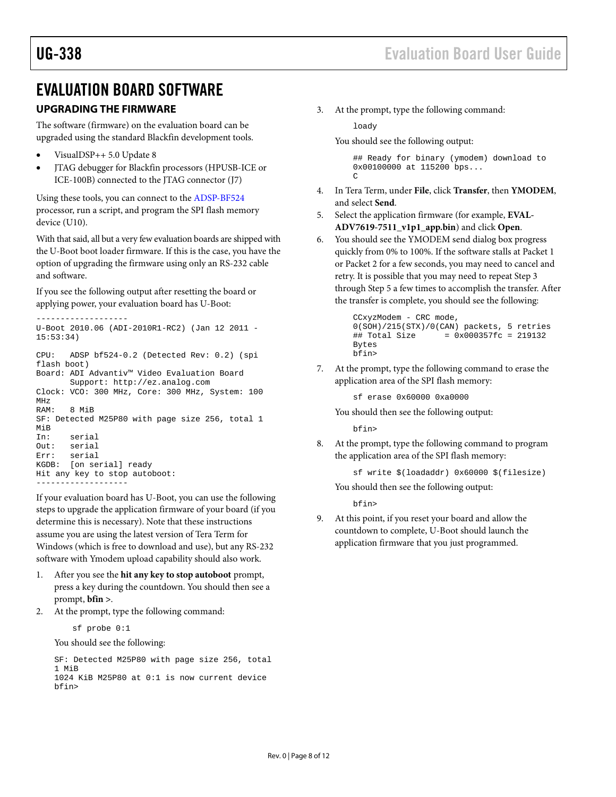### <span id="page-7-0"></span>EVALUATION BOARD SOFTWARE

#### <span id="page-7-1"></span>**UPGRADING THE FIRMWARE**

The software (firmware) on the evaluation board can be upgraded using the standard Blackfin development tools.

- VisualDSP++ 5.0 Update 8
- JTAG debugger for Blackfin processors (HPUSB-ICE or ICE-100B) connected to the JTAG connector (J7)

Using these tools, you can connect to the [ADSP-BF524](http://www.analog.com/adsp-bf524) processor, run a script, and program the SPI flash memory device (U10).

With that said, all but a very few evaluation boards are shipped with the U-Boot boot loader firmware. If this is the case, you have the option of upgrading the firmware using only an RS-232 cable and software.

If you see the following output after resetting the board or applying power, your evaluation board has U-Boot:

```
-------------------
U-Boot 2010.06 (ADI-2010R1-RC2) (Jan 12 2011 -
15:53:34)
CPU: ADSP bf524-0.2 (Detected Rev: 0.2) (spi 
flash boot)
Board: ADI Advantiv™ Video Evaluation Board
        Support: http://ez.analog.com
Clock: VCO: 300 MHz, Core: 300 MHz, System: 100 
MHz
RAM: 8 MiB
SF: Detected M25P80 with page size 256, total 1 
MiB
In: serial<br>Out: serial
Out: serial<br>Err: serial
       serial
KGDB: [on serial] ready
Hit any key to stop autoboot: 
-------------------
```
If your evaluation board has U-Boot, you can use the following steps to upgrade the application firmware of your board (if you determine this is necessary). Note that these instructions assume you are using the latest version of Tera Term for Windows (which is free to download and use), but any RS-232 software with Ymodem upload capability should also work.

- 1. After you see the **hit any key to stop autoboot** prompt, press a key during the countdown. You should then see a prompt, **bfin >**.
- 2. At the prompt, type the following command:

sf probe 0:1

You should see the following:

```
SF: Detected M25P80 with page size 256, total 
1 MiB
1024 KiB M25P80 at 0:1 is now current device
bfin>
```
3. At the prompt, type the following command:

#### loady

You should see the following output:

## Ready for binary (ymodem) download to 0x00100000 at 115200 bps...  $\overline{C}$ 

- 4. In Tera Term, under **File**, click **Transfer**, then **YMODEM**, and select **Send**.
- 5. Select the application firmware (for example, **EVAL-ADV7619-7511\_v1p1\_app.bin**) and click **Open**.
- 6. You should see the YMODEM send dialog box progress quickly from 0% to 100%. If the software stalls at Packet 1 or Packet 2 for a few seconds, you may need to cancel and retry. It is possible that you may need to repeat Step 3 through Step 5 a few times to accomplish the transfer. After the transfer is complete, you should see the following:

```
CCxyzModem - CRC mode, 
0(SOH)/215(STX)/0(CAN) packets, 5 retries<br>## Total Size = 0x000357fc = 219132
                          = 0x000357fc = 219132Bytes
bfin>
```
7. At the prompt, type the following command to erase the application area of the SPI flash memory:

sf erase 0x60000 0xa0000

You should then see the following output:

bfin>

8. At the prompt, type the following command to program the application area of the SPI flash memory:

```
sf write $(loadaddr) 0x60000 $(filesize)
```
You should then see the following output:

bfin>

9. At this point, if you reset your board and allow the countdown to complete, U-Boot should launch the application firmware that you just programmed.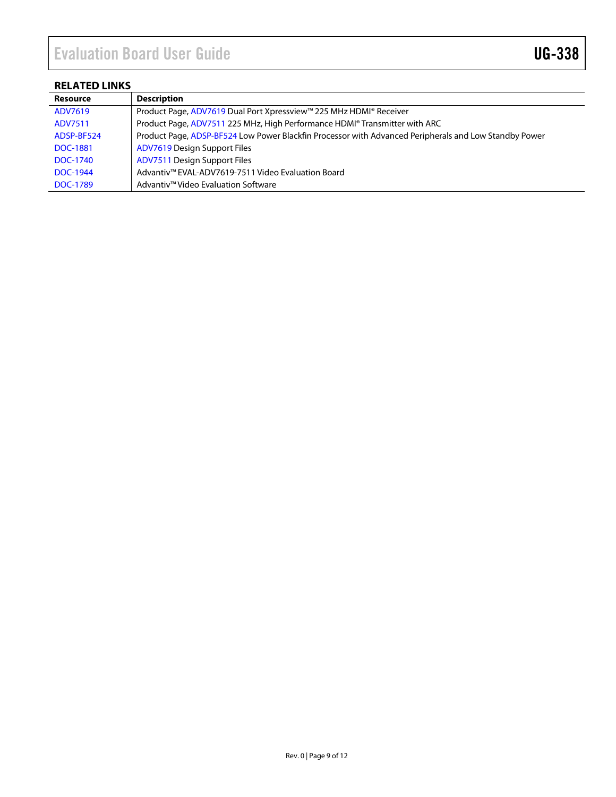### <span id="page-8-0"></span>**RELATED LINKS**

| <b>Resource</b> | <b>Description</b>                                                                                    |
|-----------------|-------------------------------------------------------------------------------------------------------|
| ADV7619         | Product Page, ADV7619 Dual Port Xpressview™ 225 MHz HDMI® Receiver                                    |
| ADV7511         | Product Page, ADV7511 225 MHz, High Performance HDMI® Transmitter with ARC                            |
| ADSP-BF524      | Product Page, ADSP-BF524 Low Power Blackfin Processor with Advanced Peripherals and Low Standby Power |
| <b>DOC-1881</b> | <b>ADV7619 Design Support Files</b>                                                                   |
| DOC-1740        | <b>ADV7511 Design Support Files</b>                                                                   |
| DOC-1944        | Advantiv™ EVAL-ADV7619-7511 Video Evaluation Board                                                    |
| DOC-1789        | Advantiv <sup>™</sup> Video Evaluation Software                                                       |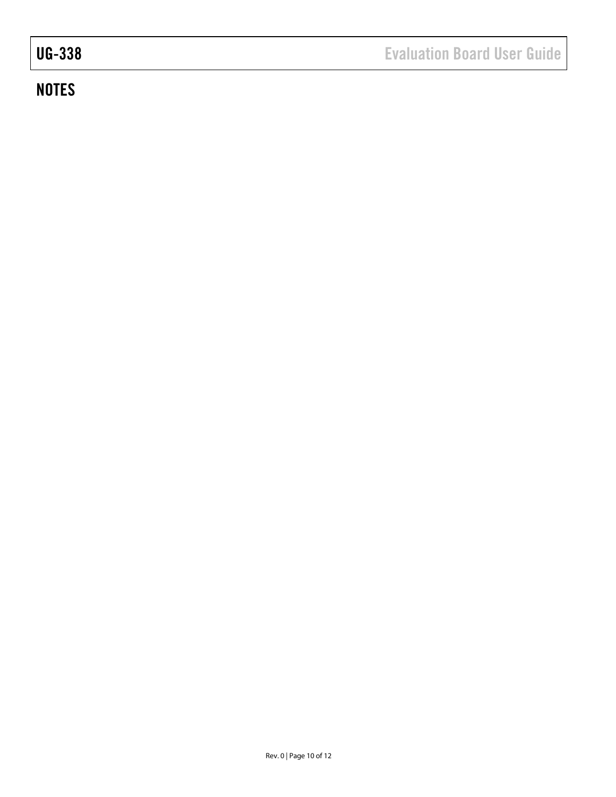# **NOTES**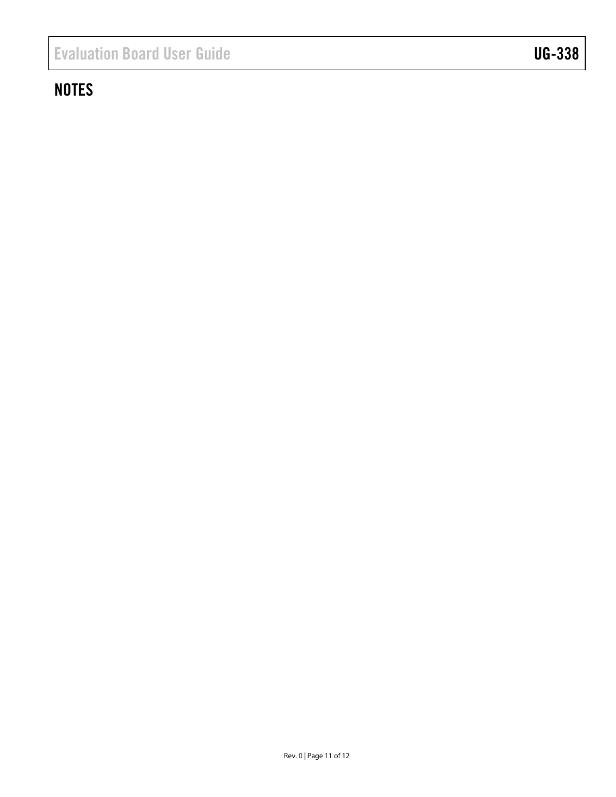# **NOTES**